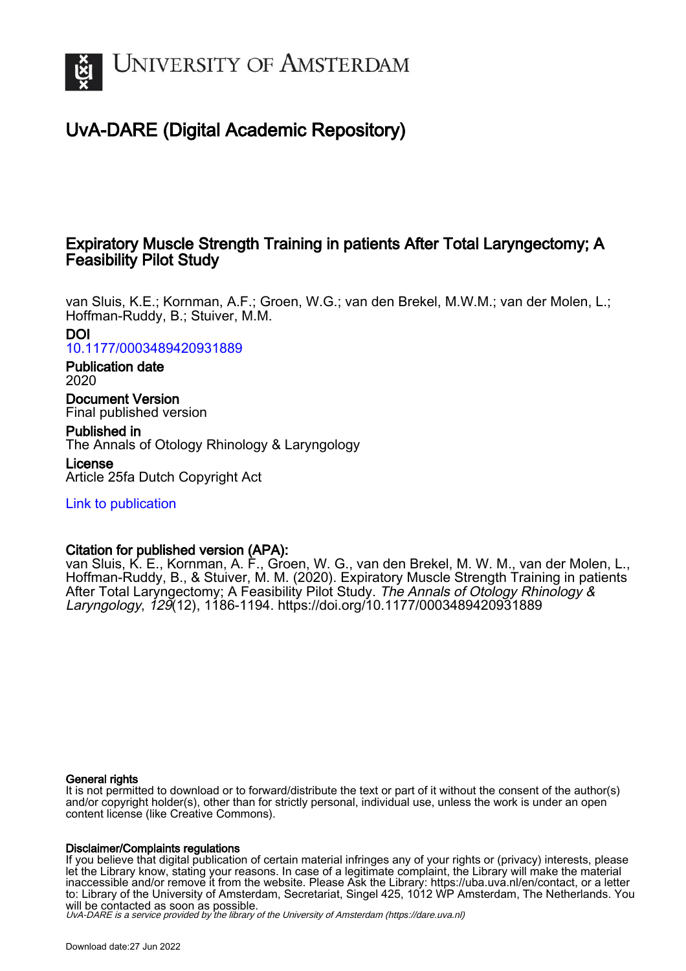

# UvA-DARE (Digital Academic Repository)

# Expiratory Muscle Strength Training in patients After Total Laryngectomy; A Feasibility Pilot Study

van Sluis, K.E.; Kornman, A.F.; Groen, W.G.; van den Brekel, M.W.M.; van der Molen, L.; Hoffman-Ruddy, B.; Stuiver, M.M.

DOI [10.1177/0003489420931889](https://doi.org/10.1177/0003489420931889)

Publication date 2020

Document Version Final published version

Published in The Annals of Otology Rhinology & Laryngology

License Article 25fa Dutch Copyright Act

[Link to publication](https://dare.uva.nl/personal/pure/en/publications/expiratory-muscle-strength-training-in-patients-after-total-laryngectomy-a-feasibility-pilot-study(bc64a912-718f-4fe0-82d1-a08d97f9c2ef).html)

# Citation for published version (APA):

van Sluis, K. E., Kornman, A. F., Groen, W. G., van den Brekel, M. W. M., van der Molen, L., Hoffman-Ruddy, B., & Stuiver, M. M. (2020). Expiratory Muscle Strength Training in patients After Total Laryngectomy; A Feasibility Pilot Study. The Annals of Otology Rhinology & Laryngology, 129(12), 1186-1194.<https://doi.org/10.1177/0003489420931889>

## General rights

It is not permitted to download or to forward/distribute the text or part of it without the consent of the author(s) and/or copyright holder(s), other than for strictly personal, individual use, unless the work is under an open content license (like Creative Commons).

## Disclaimer/Complaints regulations

If you believe that digital publication of certain material infringes any of your rights or (privacy) interests, please let the Library know, stating your reasons. In case of a legitimate complaint, the Library will make the material inaccessible and/or remove it from the website. Please Ask the Library: https://uba.uva.nl/en/contact, or a letter to: Library of the University of Amsterdam, Secretariat, Singel 425, 1012 WP Amsterdam, The Netherlands. You will be contacted as soon as possible.

UvA-DARE is a service provided by the library of the University of Amsterdam (http*s*://dare.uva.nl)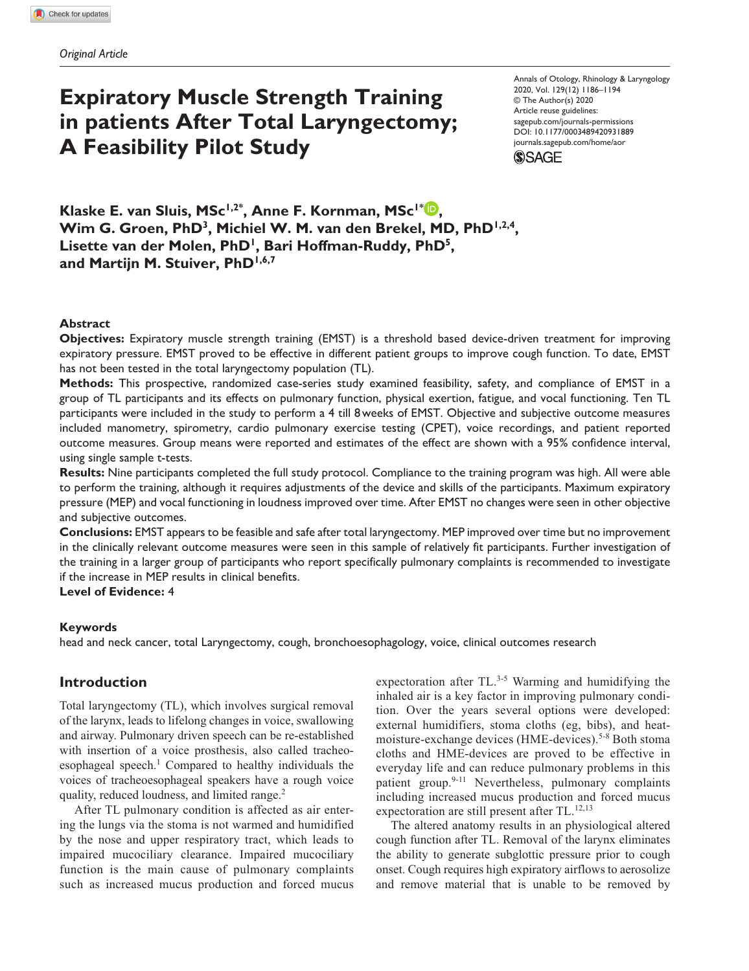# **Expiratory Muscle Strength Training in patients After Total Laryngectomy; A Feasibility Pilot Study**

Annals of Otology, Rhinology & Laryngology 2020, Vol. 129(12) 1186–1194 © The Author(s) 2020 Article reuse guidelines: [sagepub.com/journals-permissions](https://us.sagepub.com/en-us/journals-permissions) https://doi.org/10.1177/0003489420931889 DOI: 10.1177/0003489420931889 [journals.sagepub.com/home/aor](https://journals.sagepub.com/home/aor) **SSAGE** 

**Klaske E. van Sluis, MSc1,2\* , Anne F. Kornman, MSc1\* ,**  Wim G. Groen, PhD<sup>3</sup>, Michiel W. M. van den Brekel, MD, PhD<sup>1,2,4</sup>, Lisette van der Molen, PhD<sup>1</sup>, Bari Hoffman-Ruddy, PhD<sup>5</sup>, **and Martijn M. Stuiver, PhD1,6,7**

#### **Abstract**

**Objectives:** Expiratory muscle strength training (EMST) is a threshold based device-driven treatment for improving expiratory pressure. EMST proved to be effective in different patient groups to improve cough function. To date, EMST has not been tested in the total laryngectomy population (TL).

**Methods:** This prospective, randomized case-series study examined feasibility, safety, and compliance of EMST in a group of TL participants and its effects on pulmonary function, physical exertion, fatigue, and vocal functioning. Ten TL participants were included in the study to perform a 4 till 8weeks of EMST. Objective and subjective outcome measures included manometry, spirometry, cardio pulmonary exercise testing (CPET), voice recordings, and patient reported outcome measures. Group means were reported and estimates of the effect are shown with a 95% confidence interval, using single sample t-tests.

**Results:** Nine participants completed the full study protocol. Compliance to the training program was high. All were able to perform the training, although it requires adjustments of the device and skills of the participants. Maximum expiratory pressure (MEP) and vocal functioning in loudness improved over time. After EMST no changes were seen in other objective and subjective outcomes.

**Conclusions:** EMST appears to be feasible and safe after total laryngectomy. MEP improved over time but no improvement in the clinically relevant outcome measures were seen in this sample of relatively fit participants. Further investigation of the training in a larger group of participants who report specifically pulmonary complaints is recommended to investigate if the increase in MEP results in clinical benefits.

**Level of Evidence:** 4

#### **Keywords**

head and neck cancer, total Laryngectomy, cough, bronchoesophagology, voice, clinical outcomes research

### **Introduction**

Total laryngectomy (TL), which involves surgical removal of the larynx, leads to lifelong changes in voice, swallowing and airway. Pulmonary driven speech can be re-established with insertion of a voice prosthesis, also called tracheoesophageal speech.<sup>1</sup> Compared to healthy individuals the voices of tracheoesophageal speakers have a rough voice quality, reduced loudness, and limited range.<sup>2</sup>

After TL pulmonary condition is affected as air entering the lungs via the stoma is not warmed and humidified by the nose and upper respiratory tract, which leads to impaired mucociliary clearance. Impaired mucociliary function is the main cause of pulmonary complaints such as increased mucus production and forced mucus

expectoration after TL.<sup>3-5</sup> Warming and humidifying the inhaled air is a key factor in improving pulmonary condition. Over the years several options were developed: external humidifiers, stoma cloths (eg, bibs), and heatmoisture-exchange devices (HME-devices).<sup>5-8</sup> Both stoma cloths and HME-devices are proved to be effective in everyday life and can reduce pulmonary problems in this patient group.<sup>9-11</sup> Nevertheless, pulmonary complaints including increased mucus production and forced mucus expectoration are still present after TL.<sup>12,13</sup>

The altered anatomy results in an physiological altered cough function after TL. Removal of the larynx eliminates the ability to generate subglottic pressure prior to cough onset. Cough requires high expiratory airflows to aerosolize and remove material that is unable to be removed by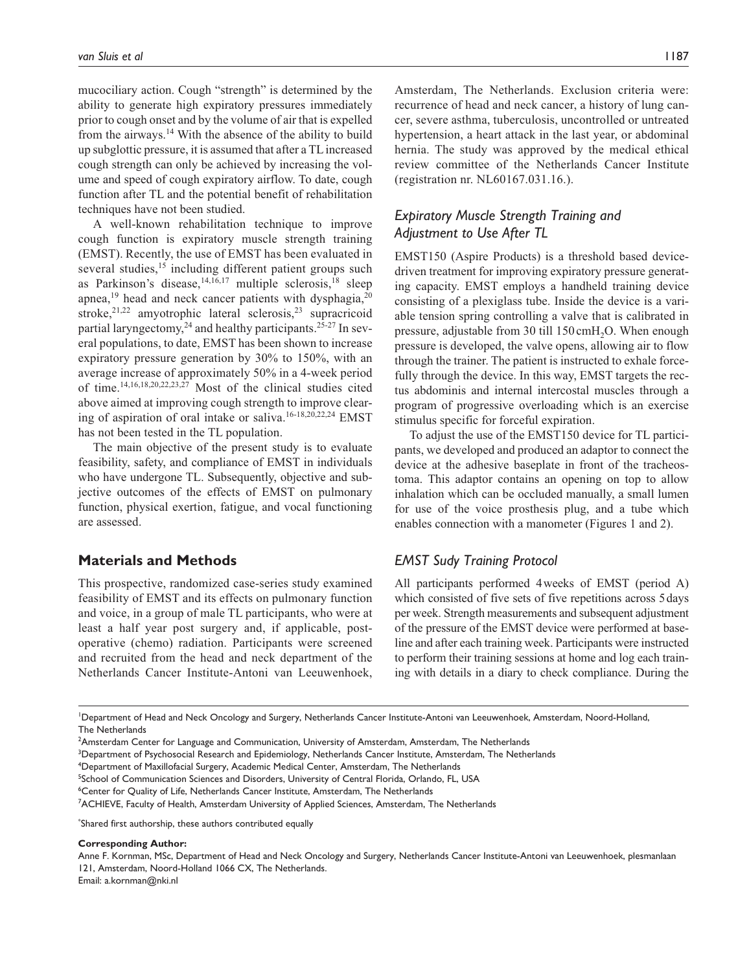mucociliary action. Cough "strength" is determined by the ability to generate high expiratory pressures immediately prior to cough onset and by the volume of air that is expelled from the airways.14 With the absence of the ability to build up subglottic pressure, it is assumed that after a TL increased cough strength can only be achieved by increasing the volume and speed of cough expiratory airflow. To date, cough function after TL and the potential benefit of rehabilitation techniques have not been studied.

A well-known rehabilitation technique to improve cough function is expiratory muscle strength training (EMST). Recently, the use of EMST has been evaluated in several studies,<sup>15</sup> including different patient groups such as Parkinson's disease,  $14,16,17$  multiple sclerosis,  $18$  sleep apnea,<sup>19</sup> head and neck cancer patients with dysphagia,<sup>20</sup> stroke, $2^{1,22}$  amyotrophic lateral sclerosis, $2^{3}$  supracricoid partial laryngectomy,<sup>24</sup> and healthy participants.<sup>25-27</sup> In several populations, to date, EMST has been shown to increase expiratory pressure generation by 30% to 150%, with an average increase of approximately 50% in a 4-week period of time.14,16,18,20,22,23,27 Most of the clinical studies cited above aimed at improving cough strength to improve clearing of aspiration of oral intake or saliva.16-18,20,22,24 EMST has not been tested in the TL population.

The main objective of the present study is to evaluate feasibility, safety, and compliance of EMST in individuals who have undergone TL. Subsequently, objective and subjective outcomes of the effects of EMST on pulmonary function, physical exertion, fatigue, and vocal functioning are assessed.

# **Materials and Methods**

This prospective, randomized case-series study examined feasibility of EMST and its effects on pulmonary function and voice, in a group of male TL participants, who were at least a half year post surgery and, if applicable, postoperative (chemo) radiation. Participants were screened and recruited from the head and neck department of the Netherlands Cancer Institute-Antoni van Leeuwenhoek, Amsterdam, The Netherlands. Exclusion criteria were: recurrence of head and neck cancer, a history of lung cancer, severe asthma, tuberculosis, uncontrolled or untreated hypertension, a heart attack in the last year, or abdominal hernia. The study was approved by the medical ethical review committee of the Netherlands Cancer Institute (registration nr. NL60167.031.16.).

# *Expiratory Muscle Strength Training and Adjustment to Use After TL*

EMST150 (Aspire Products) is a threshold based devicedriven treatment for improving expiratory pressure generating capacity. EMST employs a handheld training device consisting of a plexiglass tube. Inside the device is a variable tension spring controlling a valve that is calibrated in pressure, adjustable from 30 till 150 cmH<sub>2</sub>O. When enough pressure is developed, the valve opens, allowing air to flow through the trainer. The patient is instructed to exhale forcefully through the device. In this way, EMST targets the rectus abdominis and internal intercostal muscles through a program of progressive overloading which is an exercise stimulus specific for forceful expiration.

To adjust the use of the EMST150 device for TL participants, we developed and produced an adaptor to connect the device at the adhesive baseplate in front of the tracheostoma. This adaptor contains an opening on top to allow inhalation which can be occluded manually, a small lumen for use of the voice prosthesis plug, and a tube which enables connection with a manometer (Figures 1 and 2).

## *EMST Sudy Training Protocol*

All participants performed 4weeks of EMST (period A) which consisted of five sets of five repetitions across 5days per week. Strength measurements and subsequent adjustment of the pressure of the EMST device were performed at baseline and after each training week. Participants were instructed to perform their training sessions at home and log each training with details in a diary to check compliance. During the

1 Department of Head and Neck Oncology and Surgery, Netherlands Cancer Institute-Antoni van Leeuwenhoek, Amsterdam, Noord-Holland, The Netherlands

3 Department of Psychosocial Research and Epidemiology, Netherlands Cancer Institute, Amsterdam, The Netherlands

4 Department of Maxillofacial Surgery, Academic Medical Center, Amsterdam, The Netherlands

<sup>6</sup>Center for Quality of Life, Netherlands Cancer Institute, Amsterdam, The Netherlands

7 ACHIEVE, Faculty of Health, Amsterdam University of Applied Sciences, Amsterdam, The Netherlands

\* Shared first authorship, these authors contributed equally

#### **Corresponding Author:**

Anne F. Kornman, MSc, Department of Head and Neck Oncology and Surgery, Netherlands Cancer Institute-Antoni van Leeuwenhoek, plesmanlaan 121, Amsterdam, Noord-Holland 1066 CX, The Netherlands.

Email: [a.kornman@nki.nl](mailto:a.kornman@nki.nl)

<sup>2</sup> Amsterdam Center for Language and Communication, University of Amsterdam, Amsterdam, The Netherlands

<sup>&</sup>lt;sup>5</sup>School of Communication Sciences and Disorders, University of Central Florida, Orlando, FL, USA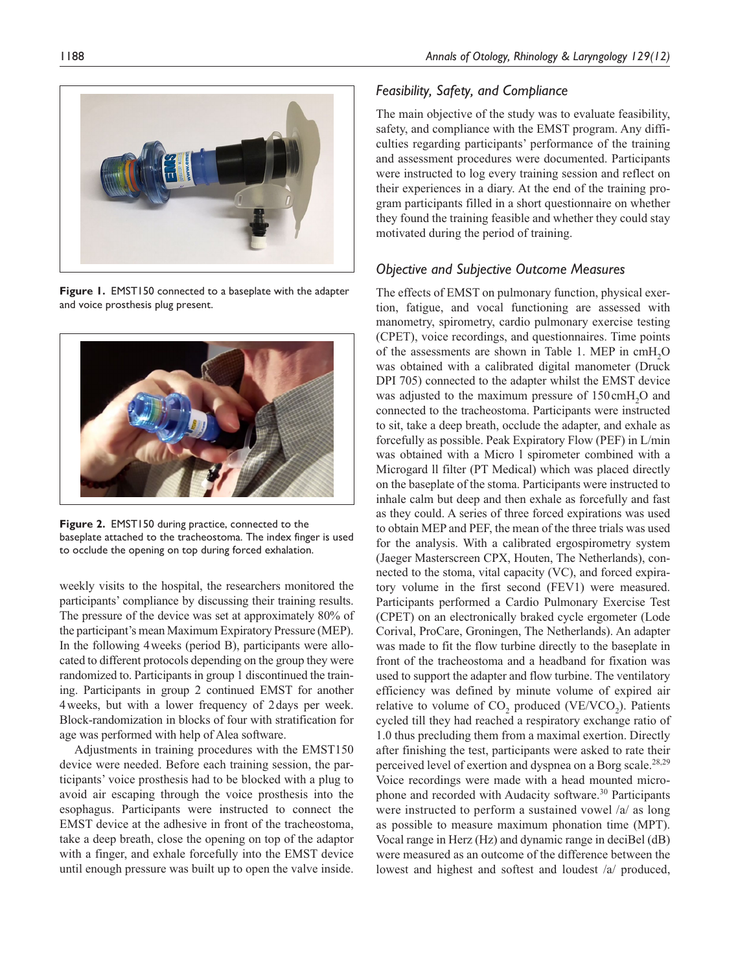

**Figure 1.** EMST150 connected to a baseplate with the adapter and voice prosthesis plug present.



**Figure 2.** EMST150 during practice, connected to the baseplate attached to the tracheostoma. The index finger is used to occlude the opening on top during forced exhalation.

weekly visits to the hospital, the researchers monitored the participants' compliance by discussing their training results. The pressure of the device was set at approximately 80% of the participant's mean Maximum Expiratory Pressure (MEP). In the following 4weeks (period B), participants were allocated to different protocols depending on the group they were randomized to. Participants in group 1 discontinued the training. Participants in group 2 continued EMST for another 4weeks, but with a lower frequency of 2days per week. Block-randomization in blocks of four with stratification for age was performed with help of Alea software.

Adjustments in training procedures with the EMST150 device were needed. Before each training session, the participants' voice prosthesis had to be blocked with a plug to avoid air escaping through the voice prosthesis into the esophagus. Participants were instructed to connect the EMST device at the adhesive in front of the tracheostoma, take a deep breath, close the opening on top of the adaptor with a finger, and exhale forcefully into the EMST device until enough pressure was built up to open the valve inside.

### *Feasibility, Safety, and Compliance*

The main objective of the study was to evaluate feasibility, safety, and compliance with the EMST program. Any difficulties regarding participants' performance of the training and assessment procedures were documented. Participants were instructed to log every training session and reflect on their experiences in a diary. At the end of the training program participants filled in a short questionnaire on whether they found the training feasible and whether they could stay motivated during the period of training.

### *Objective and Subjective Outcome Measures*

The effects of EMST on pulmonary function, physical exertion, fatigue, and vocal functioning are assessed with manometry, spirometry, cardio pulmonary exercise testing (CPET), voice recordings, and questionnaires. Time points of the assessments are shown in Table 1. MEP in  $cmH<sub>2</sub>O$ was obtained with a calibrated digital manometer (Druck DPI 705) connected to the adapter whilst the EMST device was adjusted to the maximum pressure of  $150 \text{cm}H<sub>2</sub>O$  and connected to the tracheostoma. Participants were instructed to sit, take a deep breath, occlude the adapter, and exhale as forcefully as possible. Peak Expiratory Flow (PEF) in L/min was obtained with a Micro l spirometer combined with a Microgard ll filter (PT Medical) which was placed directly on the baseplate of the stoma. Participants were instructed to inhale calm but deep and then exhale as forcefully and fast as they could. A series of three forced expirations was used to obtain MEP and PEF, the mean of the three trials was used for the analysis. With a calibrated ergospirometry system (Jaeger Masterscreen CPX, Houten, The Netherlands), connected to the stoma, vital capacity (VC), and forced expiratory volume in the first second (FEV1) were measured. Participants performed a Cardio Pulmonary Exercise Test (CPET) on an electronically braked cycle ergometer (Lode Corival, ProCare, Groningen, The Netherlands). An adapter was made to fit the flow turbine directly to the baseplate in front of the tracheostoma and a headband for fixation was used to support the adapter and flow turbine. The ventilatory efficiency was defined by minute volume of expired air relative to volume of  $CO<sub>2</sub>$  produced (VE/VCO<sub>2</sub>). Patients cycled till they had reached a respiratory exchange ratio of 1.0 thus precluding them from a maximal exertion. Directly after finishing the test, participants were asked to rate their perceived level of exertion and dyspnea on a Borg scale.<sup>28,29</sup> Voice recordings were made with a head mounted microphone and recorded with Audacity software.<sup>30</sup> Participants were instructed to perform a sustained vowel /a/ as long as possible to measure maximum phonation time (MPT). Vocal range in Herz (Hz) and dynamic range in deciBel (dB) were measured as an outcome of the difference between the lowest and highest and softest and loudest /a/ produced,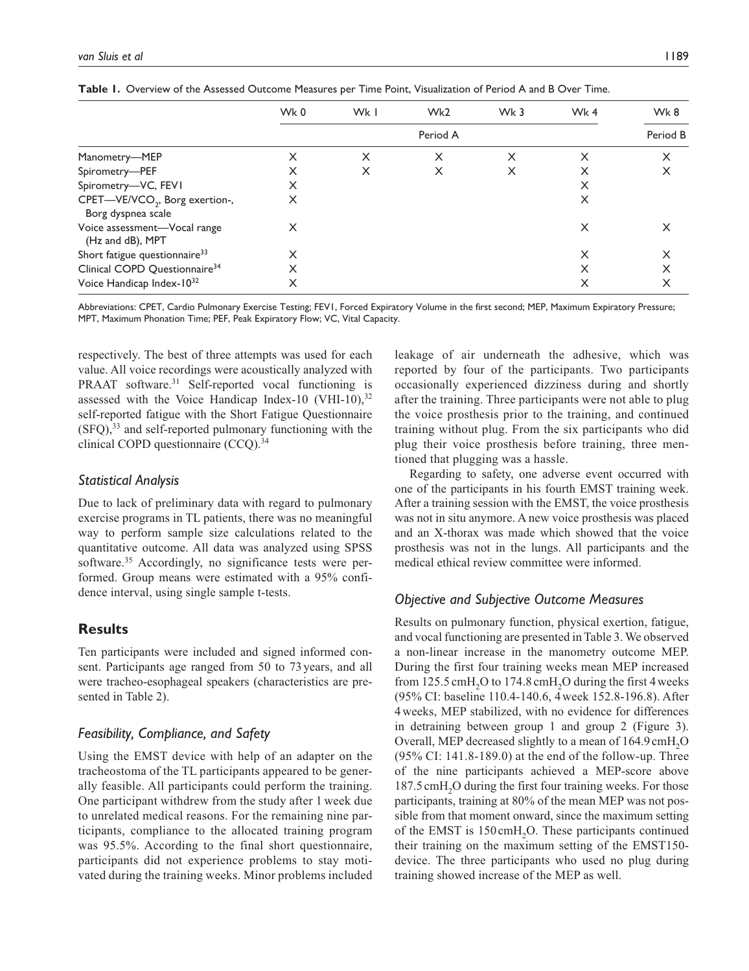|                                                                  | Wk0      | Wk I | Wk <sub>2</sub> | Wk 3 | Wk4 | Wk8 |  |
|------------------------------------------------------------------|----------|------|-----------------|------|-----|-----|--|
|                                                                  | Period A |      |                 |      |     |     |  |
| Manometry-MEP                                                    | X        | X    | X               | x    | X   | X   |  |
| Spirometry-PEF                                                   | X        | X    | X               | X    | X   | X   |  |
| Spirometry-VC, FEVI                                              | X        |      |                 |      | X   |     |  |
| CPET-VE/VCO <sub>2</sub> , Borg exertion-,<br>Borg dyspnea scale | X        |      |                 |      | X   |     |  |
| Voice assessment—Vocal range<br>(Hz and dB), MPT                 | X        |      |                 |      | X   |     |  |
| Short fatigue questionnaire <sup>33</sup>                        | X        |      |                 |      | X   | X   |  |
| Clinical COPD Questionnaire <sup>34</sup>                        | X        |      |                 |      | X   |     |  |
| Voice Handicap Index-1032                                        | X        |      |                 |      |     |     |  |

**Table 1.** Overview of the Assessed Outcome Measures per Time Point, Visualization of Period A and B Over Time.

Abbreviations: CPET, Cardio Pulmonary Exercise Testing; FEV1, Forced Expiratory Volume in the first second; MEP, Maximum Expiratory Pressure; MPT, Maximum Phonation Time; PEF, Peak Expiratory Flow; VC, Vital Capacity.

respectively. The best of three attempts was used for each value. All voice recordings were acoustically analyzed with PRAAT software.<sup>31</sup> Self-reported vocal functioning is assessed with the Voice Handicap Index-10 (VHI-10),  $32$ self-reported fatigue with the Short Fatigue Questionnaire  $(SFQ)<sup>33</sup>$  and self-reported pulmonary functioning with the clinical COPD questionnaire  $(CCQ).<sup>34</sup>$ 

#### *Statistical Analysis*

Due to lack of preliminary data with regard to pulmonary exercise programs in TL patients, there was no meaningful way to perform sample size calculations related to the quantitative outcome. All data was analyzed using SPSS software.<sup>35</sup> Accordingly, no significance tests were performed. Group means were estimated with a 95% confidence interval, using single sample t-tests.

## **Results**

Ten participants were included and signed informed consent. Participants age ranged from 50 to 73years, and all were tracheo-esophageal speakers (characteristics are presented in Table 2).

### *Feasibility, Compliance, and Safety*

Using the EMST device with help of an adapter on the tracheostoma of the TL participants appeared to be generally feasible. All participants could perform the training. One participant withdrew from the study after 1 week due to unrelated medical reasons. For the remaining nine participants, compliance to the allocated training program was 95.5%. According to the final short questionnaire, participants did not experience problems to stay motivated during the training weeks. Minor problems included leakage of air underneath the adhesive, which was reported by four of the participants. Two participants occasionally experienced dizziness during and shortly after the training. Three participants were not able to plug the voice prosthesis prior to the training, and continued training without plug. From the six participants who did plug their voice prosthesis before training, three mentioned that plugging was a hassle.

Regarding to safety, one adverse event occurred with one of the participants in his fourth EMST training week. After a training session with the EMST, the voice prosthesis was not in situ anymore. A new voice prosthesis was placed and an X-thorax was made which showed that the voice prosthesis was not in the lungs. All participants and the medical ethical review committee were informed.

#### *Objective and Subjective Outcome Measures*

Results on pulmonary function, physical exertion, fatigue, and vocal functioning are presented in Table 3. We observed a non-linear increase in the manometry outcome MEP. During the first four training weeks mean MEP increased from 125.5 cmH<sub>2</sub>O to 174.8 cmH<sub>2</sub>O during the first 4 weeks (95% CI: baseline 110.4-140.6, 4week 152.8-196.8). After 4weeks, MEP stabilized, with no evidence for differences in detraining between group 1 and group 2 (Figure 3). Overall, MEP decreased slightly to a mean of 164.9 cmH<sub>2</sub>O (95% CI: 141.8-189.0) at the end of the follow-up. Three of the nine participants achieved a MEP-score above 187.5 cmH<sub>2</sub>O during the first four training weeks. For those participants, training at 80% of the mean MEP was not possible from that moment onward, since the maximum setting of the EMST is 150 cmH<sub>2</sub>O. These participants continued their training on the maximum setting of the EMST150 device. The three participants who used no plug during training showed increase of the MEP as well.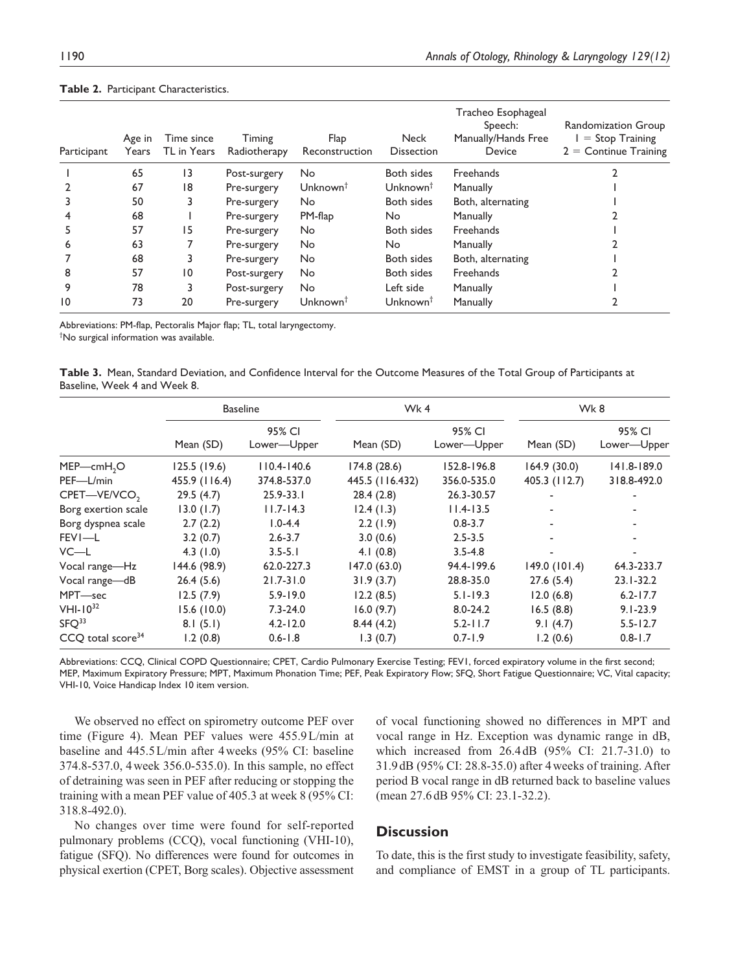| Participant | Age in<br>Years | Time since<br>TL in Years | Timing<br>Radiotherapy | Flap<br>Reconstruction | <b>Neck</b><br><b>Dissection</b> | Tracheo Esophageal<br>Speech:<br>Manually/Hands Free<br>Device | Randomization Group<br>$=$ Stop Training<br>$2 =$ Continue Training |
|-------------|-----------------|---------------------------|------------------------|------------------------|----------------------------------|----------------------------------------------------------------|---------------------------------------------------------------------|
|             | 65              | 13                        | Post-surgery           | No                     | Both sides                       | Freehands                                                      |                                                                     |
|             | 67              | 18                        | Pre-surgery            | Unknown <sup>†</sup>   | Unknown <sup>†</sup>             | Manually                                                       |                                                                     |
|             | 50              | 3                         | Pre-surgery            | No                     | Both sides                       | Both, alternating                                              |                                                                     |
|             | 68              |                           | Pre-surgery            | PM-flap                | No                               | Manually                                                       |                                                                     |
| 5           | 57              | 15                        | Pre-surgery            | <b>No</b>              | Both sides                       | Freehands                                                      |                                                                     |
| 6           | 63              |                           | Pre-surgery            | No                     | No                               | Manually                                                       |                                                                     |
|             | 68              | 3                         | Pre-surgery            | <b>No</b>              | Both sides                       | Both, alternating                                              |                                                                     |
| 8           | 57              | 10                        | Post-surgery           | No                     | Both sides                       | Freehands                                                      |                                                                     |
| 9           | 78              | 3                         | Post-surgery           | No                     | Left side                        | Manually                                                       |                                                                     |
| 10          | 73              | 20                        | Pre-surgery            | Unknown <sup>†</sup>   | Unknown <sup>†</sup>             | Manually                                                       |                                                                     |

#### **Table 2.** Participant Characteristics.

Abbreviations: PM-flap, Pectoralis Major flap; TL, total laryngectomy. † No surgical information was available.

|                              |  |  |  | Table 3. Mean, Standard Deviation, and Confidence Interval for the Outcome Measures of the Total Group of Participants at |
|------------------------------|--|--|--|---------------------------------------------------------------------------------------------------------------------------|
| Baseline, Week 4 and Week 8. |  |  |  |                                                                                                                           |

|                               | <b>Baseline</b> |                       | Wk4             |                       | Wk8           |                       |
|-------------------------------|-----------------|-----------------------|-----------------|-----------------------|---------------|-----------------------|
|                               | Mean (SD)       | 95% CI<br>Lower-Upper | Mean (SD)       | 95% CI<br>Lower-Upper | Mean (SD)     | 95% CI<br>Lower-Upper |
| $MEP$ —cmH <sub>2</sub> O     | 125.5(19.6)     | $110.4 - 140.6$       | 174.8(28.6)     | 152.8-196.8           | 164.9(30.0)   | 141.8-189.0           |
| PEF-L/min                     | 455.9 (116.4)   | 374.8-537.0           | 445.5 (116.432) | 356.0-535.0           | 405.3 (112.7) | 318.8-492.0           |
| CPET-VE/VCO <sub>2</sub>      | 29.5(4.7)       | $25.9 - 33.1$         | 28.4(2.8)       | 26.3-30.57            | ۰             |                       |
| Borg exertion scale           | 13.0(1.7)       | $11.7 - 14.3$         | 12.4(1.3)       | $11.4 - 13.5$         | ٠             |                       |
| Borg dyspnea scale            | 2.7(2.2)        | $1.0 - 4.4$           | 2.2(1.9)        | $0.8 - 3.7$           | ٠             |                       |
| FEVI-L                        | 3.2(0.7)        | $2.6 - 3.7$           | 3.0(0.6)        | $2.5 - 3.5$           | ٠             |                       |
| $VC-L$                        | 4.3(1.0)        | $3.5 - 5.1$           | 4.1(0.8)        | $3.5 - 4.8$           | ٠             | ٠                     |
| Vocal range-Hz                | 144.6 (98.9)    | 62.0-227.3            | 147.0 (63.0)    | 94.4-199.6            | 149.0 (101.4) | 64.3-233.7            |
| Vocal range-dB                | 26.4(5.6)       | $21.7 - 31.0$         | 31.9(3.7)       | 28.8-35.0             | 27.6(5.4)     | $23.1 - 32.2$         |
| MPT-sec                       | 12.5(7.9)       | $5.9 - 19.0$          | 12.2(8.5)       | $5.1 - 19.3$          | 12.0(6.8)     | $6.2 - 17.7$          |
| $VHI-10^{32}$                 | 15.6(10.0)      | $7.3 - 24.0$          | 16.0(9.7)       | $8.0 - 24.2$          | 16.5(8.8)     | $9.1 - 23.9$          |
| SFO <sup>33</sup>             | 8.1(5.1)        | $4.2 - 12.0$          | 8.44(4.2)       | $5.2 - 11.7$          | 9.1(4.7)      | $5.5 - 12.7$          |
| CCO total score <sup>34</sup> | 1.2(0.8)        | $0.6 - 1.8$           | 1.3(0.7)        | $0.7 - 1.9$           | 1.2(0.6)      | $0.8 - 1.7$           |

Abbreviations: CCQ, Clinical COPD Questionnaire; CPET, Cardio Pulmonary Exercise Testing; FEV1, forced expiratory volume in the first second; MEP, Maximum Expiratory Pressure; MPT, Maximum Phonation Time; PEF, Peak Expiratory Flow; SFQ, Short Fatigue Questionnaire; VC, Vital capacity; VHI-10, Voice Handicap Index 10 item version.

We observed no effect on spirometry outcome PEF over time (Figure 4). Mean PEF values were 455.9L/min at baseline and 445.5L/min after 4weeks (95% CI: baseline 374.8-537.0, 4week 356.0-535.0). In this sample, no effect of detraining was seen in PEF after reducing or stopping the training with a mean PEF value of 405.3 at week 8 (95% CI: 318.8-492.0).

No changes over time were found for self-reported pulmonary problems (CCQ), vocal functioning (VHI-10), fatigue (SFQ). No differences were found for outcomes in physical exertion (CPET, Borg scales). Objective assessment

of vocal functioning showed no differences in MPT and vocal range in Hz. Exception was dynamic range in dB, which increased from 26.4dB (95% CI: 21.7-31.0) to 31.9dB (95% CI: 28.8-35.0) after 4weeks of training. After period B vocal range in dB returned back to baseline values (mean 27.6 dB 95% CI: 23.1-32.2).

### **Discussion**

To date, this is the first study to investigate feasibility, safety, and compliance of EMST in a group of TL participants.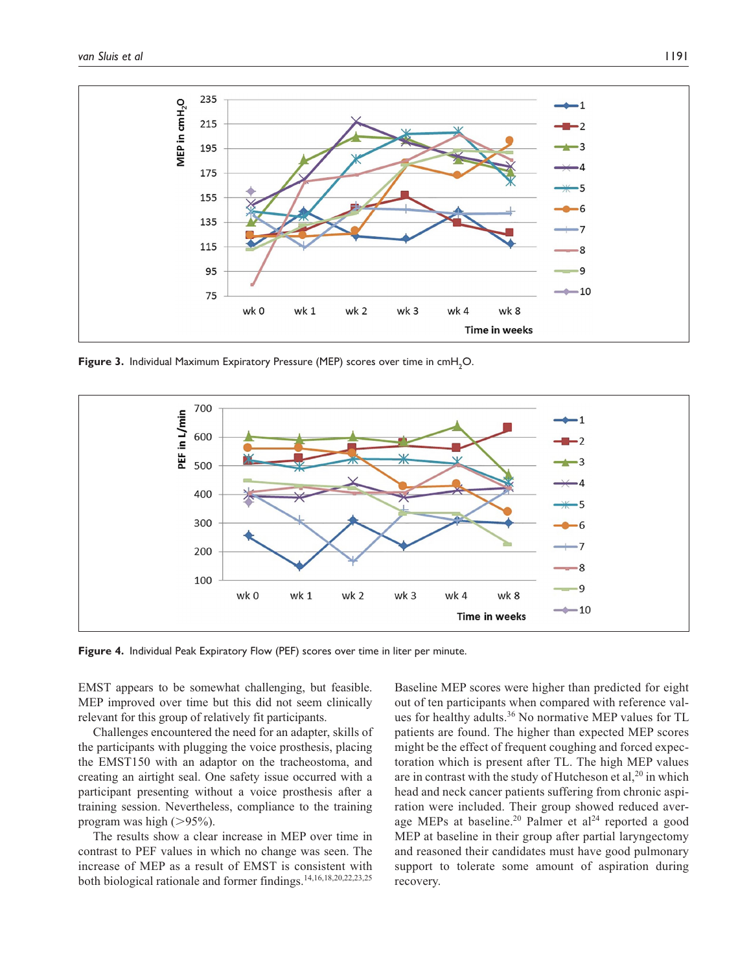

Figure 3. Individual Maximum Expiratory Pressure (MEP) scores over time in cmH<sub>2</sub>O.



**Figure 4.** Individual Peak Expiratory Flow (PEF) scores over time in liter per minute.

EMST appears to be somewhat challenging, but feasible. MEP improved over time but this did not seem clinically relevant for this group of relatively fit participants.

Challenges encountered the need for an adapter, skills of the participants with plugging the voice prosthesis, placing the EMST150 with an adaptor on the tracheostoma, and creating an airtight seal. One safety issue occurred with a participant presenting without a voice prosthesis after a training session. Nevertheless, compliance to the training program was high  $(>95\%)$ .

The results show a clear increase in MEP over time in contrast to PEF values in which no change was seen. The increase of MEP as a result of EMST is consistent with both biological rationale and former findings.14,16,18,20,22,23,25

Baseline MEP scores were higher than predicted for eight out of ten participants when compared with reference values for healthy adults.<sup>36</sup> No normative MEP values for TL patients are found. The higher than expected MEP scores might be the effect of frequent coughing and forced expectoration which is present after TL. The high MEP values are in contrast with the study of Hutcheson et al, $20$  in which head and neck cancer patients suffering from chronic aspiration were included. Their group showed reduced average MEPs at baseline.<sup>20</sup> Palmer et al<sup>24</sup> reported a good MEP at baseline in their group after partial laryngectomy and reasoned their candidates must have good pulmonary support to tolerate some amount of aspiration during recovery.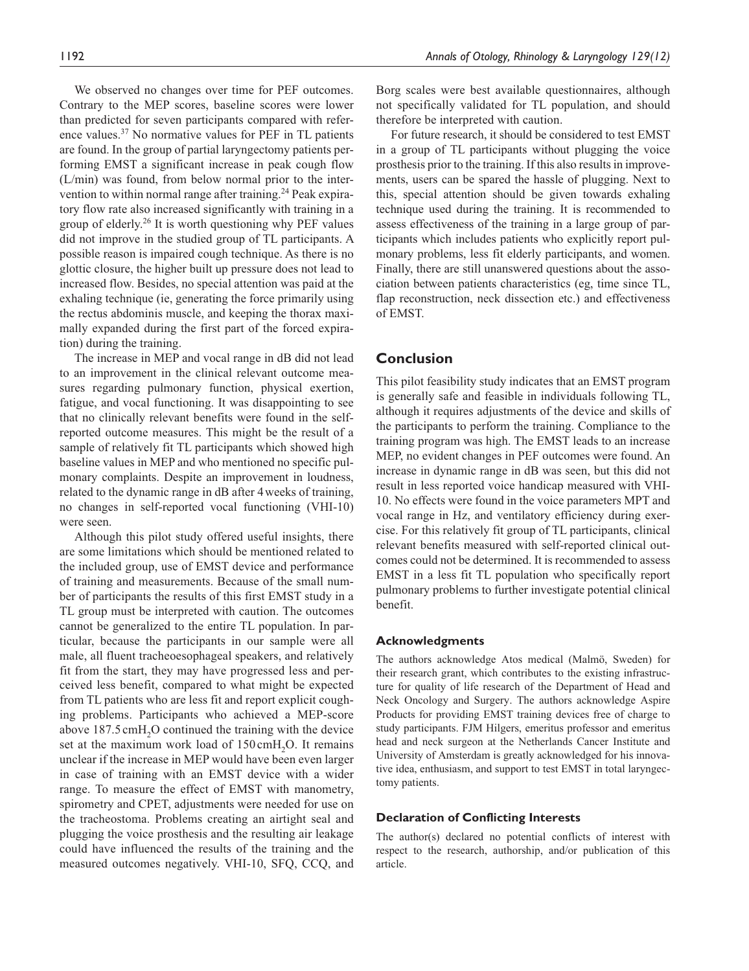We observed no changes over time for PEF outcomes. Contrary to the MEP scores, baseline scores were lower than predicted for seven participants compared with reference values.37 No normative values for PEF in TL patients are found. In the group of partial laryngectomy patients performing EMST a significant increase in peak cough flow (L/min) was found, from below normal prior to the intervention to within normal range after training.<sup>24</sup> Peak expiratory flow rate also increased significantly with training in a group of elderly.26 It is worth questioning why PEF values did not improve in the studied group of TL participants. A possible reason is impaired cough technique. As there is no glottic closure, the higher built up pressure does not lead to increased flow. Besides, no special attention was paid at the exhaling technique (ie, generating the force primarily using the rectus abdominis muscle, and keeping the thorax maximally expanded during the first part of the forced expiration) during the training.

The increase in MEP and vocal range in dB did not lead to an improvement in the clinical relevant outcome measures regarding pulmonary function, physical exertion, fatigue, and vocal functioning. It was disappointing to see that no clinically relevant benefits were found in the selfreported outcome measures. This might be the result of a sample of relatively fit TL participants which showed high baseline values in MEP and who mentioned no specific pulmonary complaints. Despite an improvement in loudness, related to the dynamic range in dB after 4weeks of training, no changes in self-reported vocal functioning (VHI-10) were seen.

Although this pilot study offered useful insights, there are some limitations which should be mentioned related to the included group, use of EMST device and performance of training and measurements. Because of the small number of participants the results of this first EMST study in a TL group must be interpreted with caution. The outcomes cannot be generalized to the entire TL population. In particular, because the participants in our sample were all male, all fluent tracheoesophageal speakers, and relatively fit from the start, they may have progressed less and perceived less benefit, compared to what might be expected from TL patients who are less fit and report explicit coughing problems. Participants who achieved a MEP-score above  $187.5 \text{ cm}$ H<sub>2</sub>O continued the training with the device set at the maximum work load of  $150 \text{cm}H<sub>2</sub>O$ . It remains unclear if the increase in MEP would have been even larger in case of training with an EMST device with a wider range. To measure the effect of EMST with manometry, spirometry and CPET, adjustments were needed for use on the tracheostoma. Problems creating an airtight seal and plugging the voice prosthesis and the resulting air leakage could have influenced the results of the training and the measured outcomes negatively. VHI-10, SFQ, CCQ, and Borg scales were best available questionnaires, although not specifically validated for TL population, and should therefore be interpreted with caution.

For future research, it should be considered to test EMST in a group of TL participants without plugging the voice prosthesis prior to the training. If this also results in improvements, users can be spared the hassle of plugging. Next to this, special attention should be given towards exhaling technique used during the training. It is recommended to assess effectiveness of the training in a large group of participants which includes patients who explicitly report pulmonary problems, less fit elderly participants, and women. Finally, there are still unanswered questions about the association between patients characteristics (eg, time since TL, flap reconstruction, neck dissection etc.) and effectiveness of EMST.

### **Conclusion**

This pilot feasibility study indicates that an EMST program is generally safe and feasible in individuals following TL, although it requires adjustments of the device and skills of the participants to perform the training. Compliance to the training program was high. The EMST leads to an increase MEP, no evident changes in PEF outcomes were found. An increase in dynamic range in dB was seen, but this did not result in less reported voice handicap measured with VHI-10. No effects were found in the voice parameters MPT and vocal range in Hz, and ventilatory efficiency during exercise. For this relatively fit group of TL participants, clinical relevant benefits measured with self-reported clinical outcomes could not be determined. It is recommended to assess EMST in a less fit TL population who specifically report pulmonary problems to further investigate potential clinical benefit.

#### **Acknowledgments**

The authors acknowledge Atos medical (Malmö, Sweden) for their research grant, which contributes to the existing infrastructure for quality of life research of the Department of Head and Neck Oncology and Surgery. The authors acknowledge Aspire Products for providing EMST training devices free of charge to study participants. FJM Hilgers, emeritus professor and emeritus head and neck surgeon at the Netherlands Cancer Institute and University of Amsterdam is greatly acknowledged for his innovative idea, enthusiasm, and support to test EMST in total laryngectomy patients.

#### **Declaration of Conflicting Interests**

The author(s) declared no potential conflicts of interest with respect to the research, authorship, and/or publication of this article.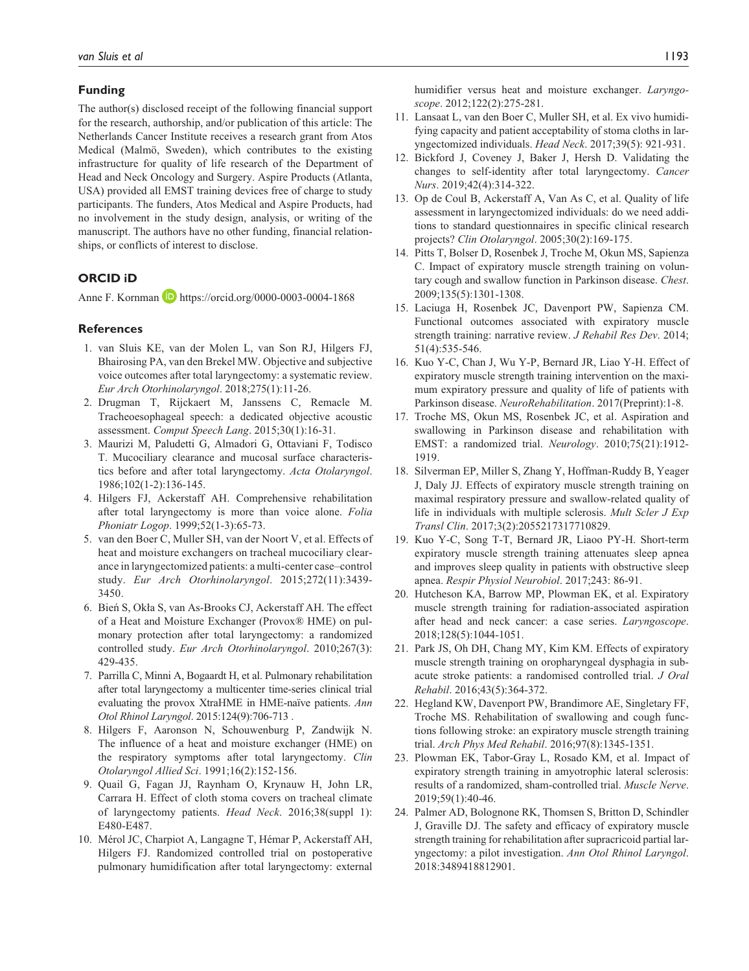#### **Funding**

The author(s) disclosed receipt of the following financial support for the research, authorship, and/or publication of this article: The Netherlands Cancer Institute receives a research grant from Atos Medical (Malmö, Sweden), which contributes to the existing infrastructure for quality of life research of the Department of Head and Neck Oncology and Surgery. Aspire Products (Atlanta, USA) provided all EMST training devices free of charge to study participants. The funders, Atos Medical and Aspire Products, had no involvement in the study design, analysis, or writing of the manuscript. The authors have no other funding, financial relationships, or conflicts of interest to disclose.

#### **ORCID iD**

Anne F. Kornman **b** <https://orcid.org/0000-0003-0004-1868>

#### **References**

- 1. van Sluis KE, van der Molen L, van Son RJ, Hilgers FJ, Bhairosing PA, van den Brekel MW. Objective and subjective voice outcomes after total laryngectomy: a systematic review. *Eur Arch Otorhinolaryngol*. 2018;275(1):11-26.
- 2. Drugman T, Rijckaert M, Janssens C, Remacle M. Tracheoesophageal speech: a dedicated objective acoustic assessment. *Comput Speech Lang*. 2015;30(1):16-31.
- 3. Maurizi M, Paludetti G, Almadori G, Ottaviani F, Todisco T. Mucociliary clearance and mucosal surface characteristics before and after total laryngectomy. *Acta Otolaryngol*. 1986;102(1-2):136-145.
- 4. Hilgers FJ, Ackerstaff AH. Comprehensive rehabilitation after total laryngectomy is more than voice alone. *Folia Phoniatr Logop*. 1999;52(1-3):65-73.
- 5. van den Boer C, Muller SH, van der Noort V, et al. Effects of heat and moisture exchangers on tracheal mucociliary clearance in laryngectomized patients: a multi-center case–control study. *Eur Arch Otorhinolaryngol*. 2015;272(11):3439- 3450.
- 6. Bień S, Okła S, van As-Brooks CJ, Ackerstaff AH. The effect of a Heat and Moisture Exchanger (Provox® HME) on pulmonary protection after total laryngectomy: a randomized controlled study. *Eur Arch Otorhinolaryngol*. 2010;267(3): 429-435.
- 7. Parrilla C, Minni A, Bogaardt H, et al. Pulmonary rehabilitation after total laryngectomy a multicenter time-series clinical trial evaluating the provox XtraHME in HME-naïve patients. *Ann Otol Rhinol Laryngol*. 2015:124(9):706-713 .
- 8. Hilgers F, Aaronson N, Schouwenburg P, Zandwijk N. The influence of a heat and moisture exchanger (HME) on the respiratory symptoms after total laryngectomy. *Clin Otolaryngol Allied Sci*. 1991;16(2):152-156.
- 9. Quail G, Fagan JJ, Raynham O, Krynauw H, John LR, Carrara H. Effect of cloth stoma covers on tracheal climate of laryngectomy patients. *Head Neck*. 2016;38(suppl 1): E480-E487.
- 10. Mérol JC, Charpiot A, Langagne T, Hémar P, Ackerstaff AH, Hilgers FJ. Randomized controlled trial on postoperative pulmonary humidification after total laryngectomy: external

humidifier versus heat and moisture exchanger. *Laryngoscope*. 2012;122(2):275-281.

- 11. Lansaat L, van den Boer C, Muller SH, et al. Ex vivo humidifying capacity and patient acceptability of stoma cloths in laryngectomized individuals. *Head Neck*. 2017;39(5): 921-931.
- 12. Bickford J, Coveney J, Baker J, Hersh D. Validating the changes to self-identity after total laryngectomy. *Cancer Nurs*. 2019;42(4):314-322.
- 13. Op de Coul B, Ackerstaff A, Van As C, et al. Quality of life assessment in laryngectomized individuals: do we need additions to standard questionnaires in specific clinical research projects? *Clin Otolaryngol*. 2005;30(2):169-175.
- 14. Pitts T, Bolser D, Rosenbek J, Troche M, Okun MS, Sapienza C. Impact of expiratory muscle strength training on voluntary cough and swallow function in Parkinson disease. *Chest*. 2009;135(5):1301-1308.
- 15. Laciuga H, Rosenbek JC, Davenport PW, Sapienza CM. Functional outcomes associated with expiratory muscle strength training: narrative review. *J Rehabil Res Dev*. 2014; 51(4):535-546.
- 16. Kuo Y-C, Chan J, Wu Y-P, Bernard JR, Liao Y-H. Effect of expiratory muscle strength training intervention on the maximum expiratory pressure and quality of life of patients with Parkinson disease. *NeuroRehabilitation*. 2017(Preprint):1-8.
- 17. Troche MS, Okun MS, Rosenbek JC, et al. Aspiration and swallowing in Parkinson disease and rehabilitation with EMST: a randomized trial. *Neurology*. 2010;75(21):1912- 1919.
- 18. Silverman EP, Miller S, Zhang Y, Hoffman-Ruddy B, Yeager J, Daly JJ. Effects of expiratory muscle strength training on maximal respiratory pressure and swallow-related quality of life in individuals with multiple sclerosis. *Mult Scler J Exp Transl Clin*. 2017;3(2):2055217317710829.
- 19. Kuo Y-C, Song T-T, Bernard JR, Liaoo PY-H. Short-term expiratory muscle strength training attenuates sleep apnea and improves sleep quality in patients with obstructive sleep apnea. *Respir Physiol Neurobiol*. 2017;243: 86-91.
- 20. Hutcheson KA, Barrow MP, Plowman EK, et al. Expiratory muscle strength training for radiation-associated aspiration after head and neck cancer: a case series. *Laryngoscope*. 2018;128(5):1044-1051.
- 21. Park JS, Oh DH, Chang MY, Kim KM. Effects of expiratory muscle strength training on oropharyngeal dysphagia in subacute stroke patients: a randomised controlled trial. *J Oral Rehabil*. 2016;43(5):364-372.
- 22. Hegland KW, Davenport PW, Brandimore AE, Singletary FF, Troche MS. Rehabilitation of swallowing and cough functions following stroke: an expiratory muscle strength training trial. *Arch Phys Med Rehabil*. 2016;97(8):1345-1351.
- 23. Plowman EK, Tabor-Gray L, Rosado KM, et al. Impact of expiratory strength training in amyotrophic lateral sclerosis: results of a randomized, sham-controlled trial. *Muscle Nerve*. 2019;59(1):40-46.
- 24. Palmer AD, Bolognone RK, Thomsen S, Britton D, Schindler J, Graville DJ. The safety and efficacy of expiratory muscle strength training for rehabilitation after supracricoid partial laryngectomy: a pilot investigation. *Ann Otol Rhinol Laryngol*. 2018:3489418812901.